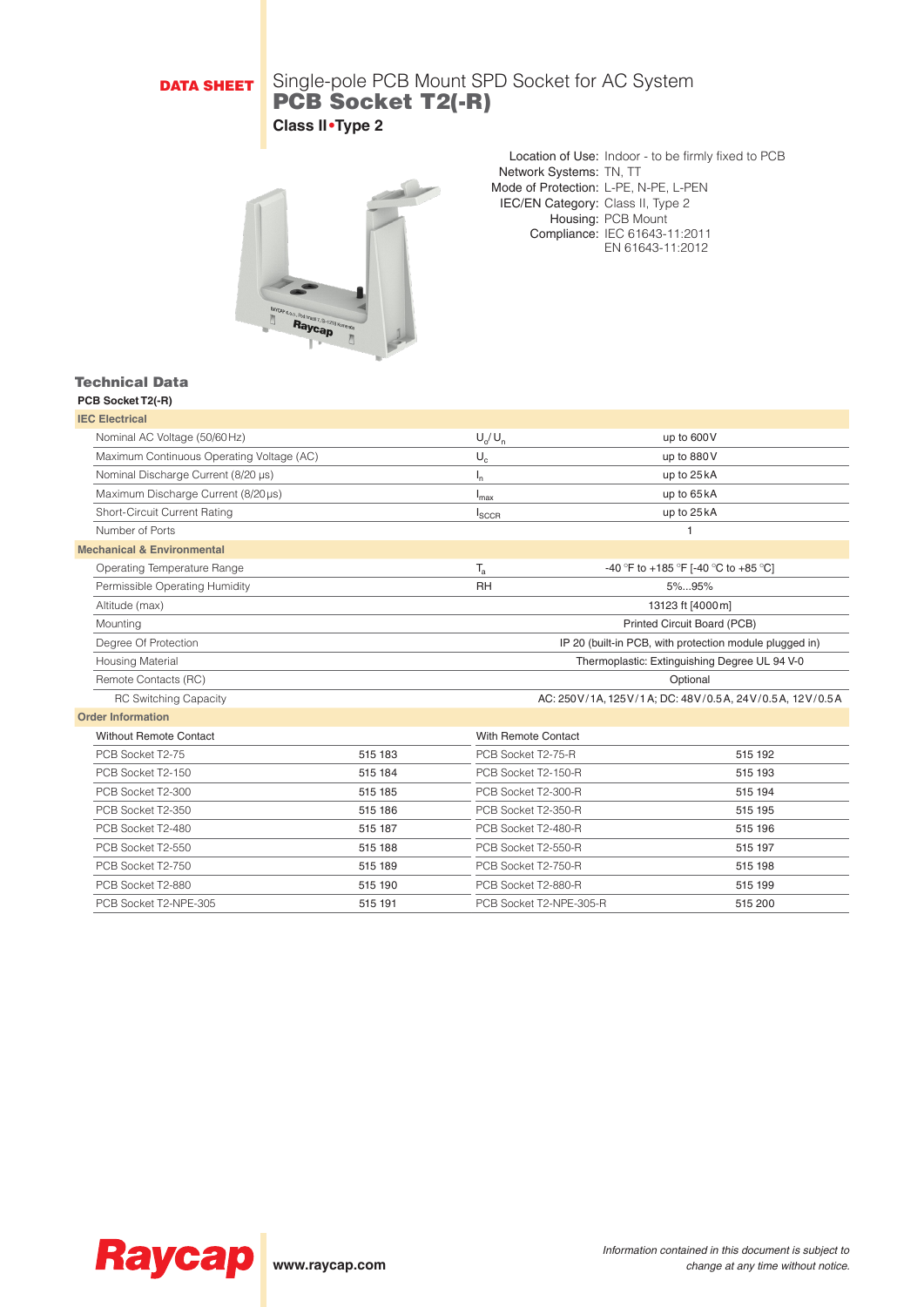## DATA SHEET

### Single-pole PCB Mount SPD Socket for AC System PCB Socket T2(-R) **Class II•Type 2**



Location of Use: Indoor - to be firmly fixed to PCB Network Systems: TN, TT Mode of Protection: L-PE, N-PE, L-PEN IEC/EN Category: Class II, Type 2 Housing: PCB Mount Compliance: IEC 61643-11:2011 EN 61643-11:2012

#### Technical Data **PCB Socket T2(-R)**

| <b>IEC Electrical</b>                     |         |                         |                                                         |
|-------------------------------------------|---------|-------------------------|---------------------------------------------------------|
| Nominal AC Voltage (50/60Hz)              |         | $U_{\alpha}/U_{\alpha}$ | up to 600V                                              |
| Maximum Continuous Operating Voltage (AC) |         | $U_c$                   | up to 880V                                              |
| Nominal Discharge Current (8/20 µs)       |         | $I_{n}$                 | up to 25 kA                                             |
| Maximum Discharge Current (8/20µs)        |         | $I_{\text{max}}$        | up to 65 kA                                             |
| Short-Circuit Current Rating              |         | $I_{SCCR}$              | up to 25 kA                                             |
| Number of Ports                           |         |                         | 1                                                       |
| <b>Mechanical &amp; Environmental</b>     |         |                         |                                                         |
| <b>Operating Temperature Range</b>        |         | $T_{a}$                 | -40 °F to +185 °F [-40 °C to +85 °C]                    |
| Permissible Operating Humidity            |         | <b>RH</b>               | 5%95%                                                   |
| Altitude (max)                            |         |                         | 13123 ft [4000m]                                        |
| Mounting                                  |         |                         | Printed Circuit Board (PCB)                             |
| Degree Of Protection                      |         |                         | IP 20 (built-in PCB, with protection module plugged in) |
| <b>Housing Material</b>                   |         |                         | Thermoplastic: Extinguishing Degree UL 94 V-0           |
| Remote Contacts (RC)                      |         |                         | Optional                                                |
| <b>RC Switching Capacity</b>              |         |                         | AC: 250V/1A, 125V/1A; DC: 48V/0.5A, 24V/0.5A, 12V/0.5A  |
| <b>Order Information</b>                  |         |                         |                                                         |
| <b>Without Remote Contact</b>             |         | With Remote Contact     |                                                         |
| PCB Socket T2-75                          | 515 183 | PCB Socket T2-75-R      | 515 192                                                 |
| PCB Socket T2-150                         | 515 184 | PCB Socket T2-150-R     | 515 193                                                 |
| PCB Socket T2-300                         | 515 185 | PCB Socket T2-300-R     | 515 194                                                 |
| PCB Socket T2-350                         | 515 186 | PCB Socket T2-350-R     | 515 195                                                 |
| PCB Socket T2-480                         | 515 187 | PCB Socket T2-480-R     | 515 196                                                 |
| PCB Socket T2-550                         | 515 188 | PCB Socket T2-550-R     | 515 197                                                 |
| PCB Socket T2-750                         | 515 189 | PCB Socket T2-750-R     | 515 198                                                 |
| PCB Socket T2-880                         | 515 190 | PCB Socket T2-880-R     | 515 199                                                 |
| PCB Socket T2-NPE-305                     | 515 191 | PCB Socket T2-NPE-305-R | 515 200                                                 |
|                                           |         |                         |                                                         |